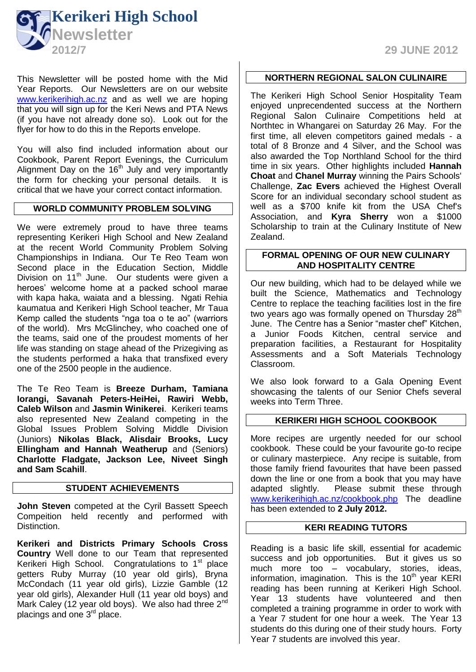

This Newsletter will be posted home with the Mid Year Reports. Our Newsletters are on our website [www.kerikerihigh.ac.nz](http://www.kerikerihigh.ac.nz/) and as well we are hoping that you will sign up for the Keri News and PTA News (if you have not already done so). Look out for the flyer for how to do this in the Reports envelope.

You will also find included information about our Cookbook, Parent Report Evenings, the Curriculum Alignment Day on the 16<sup>th</sup> July and very importantly the form for checking your personal details. It is critical that we have your correct contact information.

# **WORLD COMMUNITY PROBLEM SOLVING**

We were extremely proud to have three teams representing Kerikeri High School and New Zealand at the recent World Community Problem Solving Championships in Indiana. Our Te Reo Team won Second place in the Education Section, Middle Division on 11<sup>th</sup> June. Our students were given a heroes' welcome home at a packed school marae with kapa haka, waiata and a blessing. Ngati Rehia kaumatua and Kerikeri High School teacher, Mr Taua Kemp called the students "nga toa o te ao" (warriors of the world). Mrs McGlinchey, who coached one of the teams, said one of the proudest moments of her life was standing on stage ahead of the Prizegiving as the students performed a haka that transfixed every one of the 2500 people in the audience.

The Te Reo Team is **Breeze Durham, Tamiana Iorangi, Savanah Peters-HeiHei, Rawiri Webb, Caleb Wilson** and **Jasmin Winikerei**. Kerikeri teams also represented New Zealand competing in the Global Issues Problem Solving Middle Division (Juniors) **Nikolas Black, Alisdair Brooks, Lucy Ellingham and Hannah Weatherup** and (Seniors) **Charlotte Fladgate, Jackson Lee, Niveet Singh and Sam Scahill**.

### **STUDENT ACHIEVEMENTS**

**John Steven** competed at the Cyril Bassett Speech Compeition held recently and performed with Distinction.

**Kerikeri and Districts Primary Schools Cross Country** Well done to our Team that represented Kerikeri High School. Congratulations to 1<sup>st</sup> place getters Ruby Murray (10 year old girls), Bryna McCondach (11 year old girls), Lizzie Gamble (12 year old girls), Alexander Hull (11 year old boys) and Mark Caley (12 year old boys). We also had three 2<sup>nd</sup> placings and one 3rd place.

**2012/7 29 JUNE 2012**

### **NORTHERN REGIONAL SALON CULINAIRE**

The Kerikeri High School Senior Hospitality Team enjoyed unprecendented success at the Northern Regional Salon Culinaire Competitions held at Northtec in Whangarei on Saturday 26 May. For the first time, all eleven competitors gained medals - a total of 8 Bronze and 4 Silver, and the School was also awarded the Top Northland School for the third time in six years. Other highlights included **Hannah Choat** and **Chanel Murray** winning the Pairs Schools' Challenge, **Zac Evers** achieved the Highest Overall Score for an individual secondary school student as well as a \$700 knife kit from the USA Chef's Association, and **Kyra Sherry** won a \$1000 Scholarship to train at the Culinary Institute of New Zealand.

### **FORMAL OPENING OF OUR NEW CULINARY AND HOSPITALITY CENTRE**

Our new building, which had to be delayed while we built the Science, Mathematics and Technology Centre to replace the teaching facilities lost in the fire two years ago was formally opened on Thursday 28<sup>th</sup> June. The Centre has a Senior "master chef" Kitchen, a Junior Foods Kitchen, central service and preparation facilities, a Restaurant for Hospitality Assessments and a Soft Materials Technology Classroom.

We also look forward to a Gala Opening Event showcasing the talents of our Senior Chefs several weeks into Term Three.

# **KERIKERI HIGH SCHOOL COOKBOOK**

More recipes are urgently needed for our school cookbook. These could be your favourite go-to recipe or culinary masterpiece. Any recipe is suitable, from those family friend favourites that have been passed down the line or one from a book that you may have adapted slightly. Please submit these through [www.kerikerihigh.ac.nz/cookbook.php](http://www.kerikerihigh.ac.nz/cookbook.php) The deadline has been extended to **2 July 2012.**

# **KERI READING TUTORS**

Reading is a basic life skill, essential for academic success and job opportunities. But it gives us so much more too – vocabulary, stories, ideas, information, imagination. This is the  $10<sup>th</sup>$  year KERI reading has been running at Kerikeri High School. Year 13 students have volunteered and then completed a training programme in order to work with a Year 7 student for one hour a week. The Year 13 students do this during one of their study hours. Forty Year 7 students are involved this year.